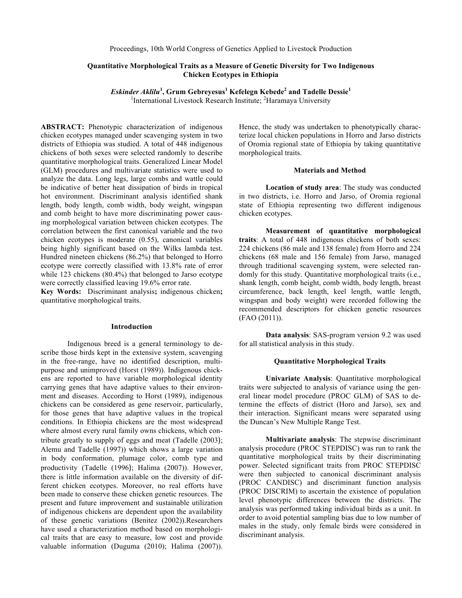# **Quantitative Morphological Traits as a Measure of Genetic Diversity for Two Indigenous Chicken Ecotypes in Ethiopia**

*Eskinder Aklilu***<sup>1</sup> , Grum Gebreyesus<sup>1</sup> Kefelegn Kebede<sup>2</sup> and Tadelle Dessie<sup>1</sup>** <sup>1</sup>International Livestock Research Institute; <sup>2</sup>Haramaya University

**ABSTRACT:** Phenotypic characterization of indigenous chicken ecotypes managed under scavenging system in two districts of Ethiopia was studied. A total of 448 indigenous chickens of both sexes were selected randomly to describe quantitative morphological traits. Generalized Linear Model (GLM) procedures and multivariate statistics were used to analyze the data. Long legs, large combs and wattle could be indicative of better heat dissipation of birds in tropical hot environment. Discriminant analysis identified shank length, body length, comb width, body weight, wingspan and comb height to have more discriminating power causing morphological variation between chicken ecotypes. The correlation between the first canonical variable and the two chicken ecotypes is moderate (0.55), canonical variables being highly significant based on the Wilks lambda test. Hundred nineteen chickens (86.2%) that belonged to Horro ecotype were correctly classified with 13.8% rate of error while 123 chickens (80.4%) that belonged to Jarso ecotype were correctly classified leaving 19.6% error rate.

**Key Words:** Discriminant analysis**;** indigenous chicken**;**  quantitative morphological traits.

#### **Introduction**

Indigenous breed is a general terminology to describe those birds kept in the extensive system, scavenging in the free-range, have no identified description, multipurpose and unimproved (Horst (1989)). Indigenous chickens are reported to have variable morphological identity carrying genes that have adaptive values to their environment and diseases. According to Horst (1989), indigenous chickens can be considered as gene reservoir, particularly, for those genes that have adaptive values in the tropical conditions. In Ethiopia chickens are the most widespread where almost every rural family owns chickens, which contribute greatly to supply of eggs and meat (Tadelle (2003); Alemu and Tadelle (1997)) which shows a large variation in body conformation, plumage color, comb type and productivity (Tadelle (1996); Halima (2007)). However, there is little information available on the diversity of different chicken ecotypes. Moreover, no real efforts have been made to conserve these chicken genetic resources. The present and future improvement and sustainable utilization of indigenous chickens are dependent upon the availability of these genetic variations (Benitez (2002)).Researchers have used a characterization method based on morphological traits that are easy to measure, low cost and provide valuable information (Duguma (2010); Halima (2007)).

Hence, the study was undertaken to phenotypically characterize local chicken populations in Horro and Jarso districts of Oromia regional state of Ethiopia by taking quantitative morphological traits.

## **Materials and Method**

**Location of study area**: The study was conducted in two districts, i.e. Horro and Jarso, of Oromia regional state of Ethiopia representing two different indigenous chicken ecotypes.

**Measurement of quantitative morphological traits**: A total of 448 indigenous chickens of both sexes: 224 chickens (86 male and 138 female) from Horro and 224 chickens (68 male and 156 female) from Jarso, managed through traditional scavenging system, were selected randomly for this study. Quantitative morphological traits (i.e., shank length, comb height, comb width, body length, breast circumference, back length, keel length, wattle length, wingspan and body weight) were recorded following the recommended descriptors for chicken genetic resources (FAO (2011)).

**Data analysis**: SAS-program version 9.2 was used for all statistical analysis in this study.

# **Quantitative Morphological Traits**

**Univariate Analysis**: Quantitative morphological traits were subjected to analysis of variance using the general linear model procedure (PROC GLM) of SAS to determine the effects of district (Horo and Jarso), sex and their interaction. Significant means were separated using the Duncan's New Multiple Range Test.

**Multivariate analysis**: The stepwise discriminant analysis procedure (PROC STEPDISC) was run to rank the quantitative morphological traits by their discriminating power. Selected significant traits from PROC STEPDISC were then subjected to canonical discriminant analysis (PROC CANDISC) and discriminant function analysis (PROC DISCRIM) to ascertain the existence of population level phenotypic differences between the districts. The analysis was performed taking individual birds as a unit. In order to avoid potential sampling bias due to low number of males in the study, only female birds were considered in discriminant analysis.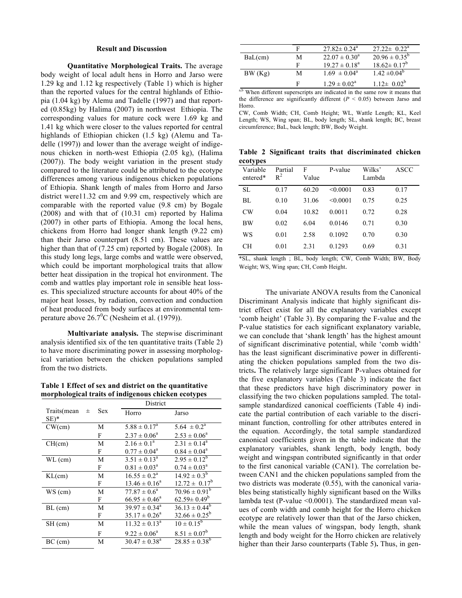### **Result and Discussion**

**Quantitative Morphological Traits.** The average body weight of local adult hens in Horro and Jarso were 1.29 kg and 1.12 kg respectively (Table 1) which is higher than the reported values for the central highlands of Ethiopia (1.04 kg) by Alemu and Tadelle (1997) and that reported (0.85kg) by Halima (2007) in northwest Ethiopia. The corresponding values for mature cock were 1.69 kg and 1.41 kg which were closer to the values reported for central highlands of Ethiopian chicken (1.5 kg) (Alemu and Tadelle (1997)) and lower than the average weight of indigenous chicken in north-west Ethiopia (2.05 kg), (Halima (2007)). The body weight variation in the present study compared to the literature could be attributed to the ecotype differences among various indigenous chicken populations of Ethiopia. Shank length of males from Horro and Jarso district were11.32 cm and 9.99 cm, respectively which are comparable with the reported value (9.8 cm) by Bogale (2008) and with that of (10.31 cm) reported by Halima (2007) in other parts of Ethiopia. Among the local hens, chickens from Horro had longer shank length (9.22 cm) than their Jarso counterpart (8.51 cm). These values are higher than that of (7.25 cm) reported by Bogale (2008). In this study long legs, large combs and wattle were observed, which could be important morphological traits that allow better heat dissipation in the tropical hot environment. The comb and wattles play important role in sensible heat losses. This specialized structure accounts for about 40% of the major heat losses, by radiation, convection and conduction of heat produced from body surfaces at environmental temperature above  $26.7^{\circ}$ C (Nesheim et al. (1979)).

**Multivariate analysis.** The stepwise discriminant analysis identified six of the ten quantitative traits (Table 2) to have more discriminating power in assessing morphological variation between the chicken populations sampled from the two districts.

**Table 1 Effect of sex and district on the quantitative morphological traits of indigenous chicken ecotypes**

|                       |   |            | District                 |                            |
|-----------------------|---|------------|--------------------------|----------------------------|
| Traits(mean<br>$SE)*$ | 士 | <b>Sex</b> | Horro                    | Jarso                      |
| CW(cm)                |   | М          | $5.88 \pm 0.17^a$        | $5.64 \pm 0.2^{\text{a}}$  |
|                       |   | F          | $2.37 \pm 0.06^a$        | $2.53 \pm 0.06^a$          |
| CH(cm)                |   | M          | $2.16 \pm 0.1^a$         | $2.31 \pm 0.14^a$          |
|                       |   | F          | $0.77 \pm 0.04^{\circ}$  | $0.84 \pm 0.04^a$          |
| $WL$ (cm)             |   | М          | $3.51 \pm 0.13^a$        | $2.95 \pm 0.12^b$          |
|                       |   | F          | $0.81 \pm 0.03^{\circ}$  | $0.74 \pm 0.03^{\text{a}}$ |
| KL(cm)                |   | M          | $16.55 \pm 0.2^a$        | $14.92 \pm 0.3^b$          |
|                       |   | F          | $13.46 \pm 0.16^a$       | $12.72 \pm 0.17^b$         |
| WS (cm)               |   | M          | $77.87 \pm 0.6^a$        | $70.96 \pm 0.91^b$         |
|                       |   | F          | $66.95 \pm 0.46^a$       | $62.59 \pm 0.49^b$         |
| $BL$ (cm)             |   | M          | $39.97 \pm 0.34^{\circ}$ | $36.13 \pm 0.44^b$         |
|                       |   | F          | $35.17 \pm 0.26^a$       | $32.66 \pm 0.25^b$         |
| SH (cm)               |   | М          | $11.32 \pm 0.13^{\circ}$ | $10 \pm 0.15^{\rm b}$      |
|                       |   | F          | $9.22 \pm 0.06^a$        | $8.51 \pm 0.07^b$          |
| $BC$ (cm)             |   | М          | $30.47 \pm 0.38^{\circ}$ | $28.85 \pm 0.38^b$         |

|         | F | $27.82 \pm 0.24$ <sup>a</sup> | $27.22 \pm 0.22^{\text{a}}$ |
|---------|---|-------------------------------|-----------------------------|
| BaL(cm) | M | $22.07 \pm 0.30^{\circ}$      | $20.96 \pm 0.35^b$          |
|         | F | $19.27 \pm 0.18^{\text{a}}$   | $18.62 \pm 0.17^b$          |
| BW(Kg)  | M | $1.69 \pm 0.04^{\circ}$       | $1.42 \pm 0.04^{\circ}$     |
|         | F | $1.29 \pm 0.02^{\text{a}}$    | $1.12 \pm 0.02^b$           |

<sup>a,b</sup> When different superscripts are indicated in the same row it means that the difference are significantly different  $(P < 0.05)$  between Jarso and Horro.

CW, Comb Width; CH, Comb Height; WL, Wattle Length; KL, Keel Length; WS, Wing span; BL, body length; SL, shank length; BC, breast circumference; BaL, back length; BW, Body Weight.

**Table 2 Significant traits that discriminated chicken ecotypes**

| Variable<br>entered* | Partial<br>$R^2$ | F<br>Value | P-value  | Wilks'<br>Lambda | <b>ASCC</b> |
|----------------------|------------------|------------|----------|------------------|-------------|
| SL.                  | 0.17             | 60.20      | < 0.0001 | 0.83             | 0.17        |
| BL                   | 0.10             | 31.06      | < 0.0001 | 0.75             | 0.25        |
| CW                   | 0.04             | 10.82      | 0.0011   | 0.72             | 0.28        |
| ВW                   | 0.02             | 6.04       | 0.0146   | 0.71             | 0.30        |
| WS                   | 0.01             | 2.58       | 0.1092   | 0.70             | 0.30        |
| <b>CH</b>            | 0.01             | 2.31       | 0.1293   | 0.69             | 0.31        |

\*SL, shank length ; BL, body length; CW, Comb Width; BW, Body Weight; WS, Wing span; CH, Comb Height.

The univariate ANOVA results from the Canonical Discriminant Analysis indicate that highly significant district effect exist for all the explanatory variables except 'comb height' (Table 3). By comparing the F-value and the P-value statistics for each significant explanatory variable, we can conclude that 'shank length' has the highest amount of significant discriminative potential, while 'comb width' has the least significant discriminative power in differentiating the chicken populations sampled from the two districts**.** The relatively large significant P-values obtained for the five explanatory variables (Table 3) indicate the fact that these predictors have high discriminatory power in classifying the two chicken populations sampled. The totalsample standardized canonical coefficients (Table 4) indicate the partial contribution of each variable to the discriminant function, controlling for other attributes entered in the equation. Accordingly, the total sample standardized canonical coefficients given in the table indicate that the explanatory variables, shank length, body length, body weight and wingspan contributed significantly in that order to the first canonical variable (CAN1). The correlation between CAN1 and the chicken populations sampled from the two districts was moderate (0.55), with the canonical variables being statistically highly significant based on the Wilks lambda test (P-value <0.0001). The standardized mean values of comb width and comb height for the Horro chicken ecotype are relatively lower than that of the Jarso chicken, while the mean values of wingspan, body length, shank length and body weight for the Horro chicken are relatively higher than their Jarso counterparts (Table 5)**.** Thus, in gen